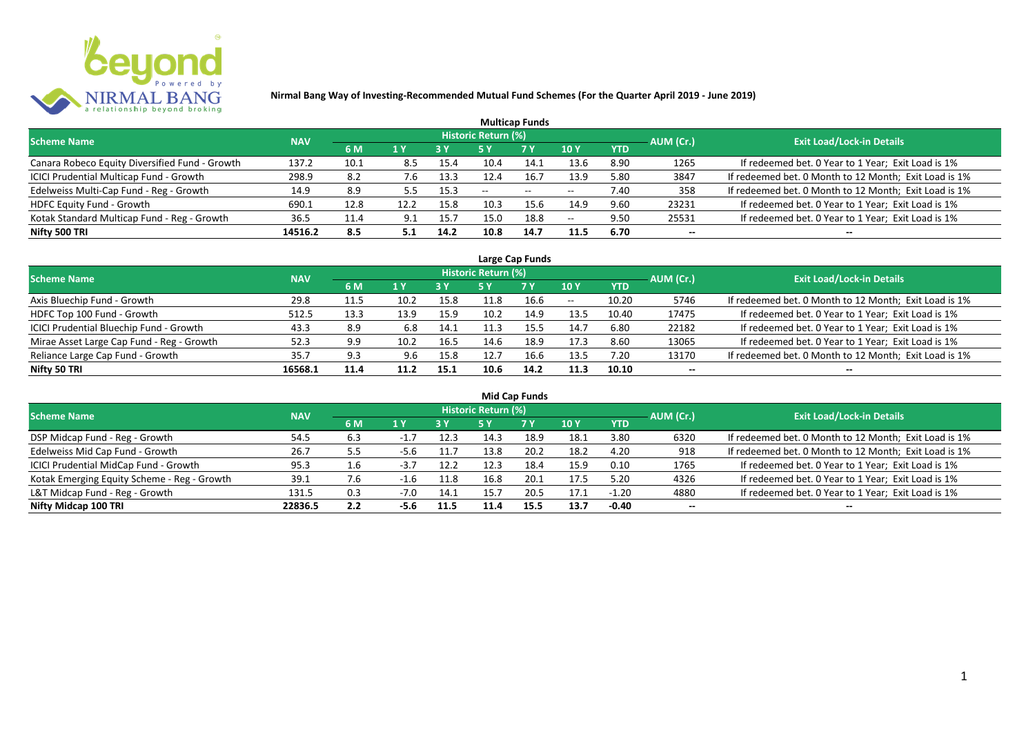

|                                                |            |      |      |            |                     | <b>Multicap Funds</b> |                          |            |           |                                                       |
|------------------------------------------------|------------|------|------|------------|---------------------|-----------------------|--------------------------|------------|-----------|-------------------------------------------------------|
| <b>Scheme Name</b>                             | <b>NAV</b> |      |      |            | Historic Return (%) |                       |                          |            | AUM (Cr.) | <b>Exit Load/Lock-in Details</b>                      |
|                                                |            | 6 M  | 1 Y  | <b>3 Y</b> |                     | <b>7Y</b>             | <b>10Y</b>               | <b>YTD</b> |           |                                                       |
| Canara Robeco Equity Diversified Fund - Growth | 137.2      | 10.1 | 8.5  | 15.4       | 10.4                | 14.1                  | 13.6                     | 8.90       | 1265      | If redeemed bet. 0 Year to 1 Year; Exit Load is 1%    |
| ICICI Prudential Multicap Fund - Growth        | 298.9      | 8.2  | 7.6  | 13.3       | 12.4                | 16.7                  | 13.9                     | 5.80       | 3847      | If redeemed bet. 0 Month to 12 Month; Exit Load is 1% |
| Edelweiss Multi-Cap Fund - Reg - Growth        | 14.9       | 8.9  |      | 15.3       | $- -$               | $- -$                 | $\overline{\phantom{m}}$ | 7.40       | 358       | If redeemed bet. 0 Month to 12 Month; Exit Load is 1% |
| <b>HDFC Equity Fund - Growth</b>               | 690.1      | 12.8 | 12.2 | 15.8       | 10.3                | 15.6                  | 14.9                     | 9.60       | 23231     | If redeemed bet. 0 Year to 1 Year; Exit Load is 1%    |
| Kotak Standard Multicap Fund - Reg - Growth    | 36.5       | 11.4 | 9.1  | 15.7       | 15.0                | 18.8                  | $\overline{\phantom{m}}$ | 9.50       | 25531     | If redeemed bet. 0 Year to 1 Year; Exit Load is 1%    |
| Nifty 500 TRI                                  | 14516.2    | 8.5  | 5.1  | 14.2       | 10.8                | 14.7                  | 11.5                     | 6.70       | $- -$     |                                                       |

| Large Cap Funds                           |            |      |                  |      |                     |           |            |            |           |                                                       |  |  |  |
|-------------------------------------------|------------|------|------------------|------|---------------------|-----------|------------|------------|-----------|-------------------------------------------------------|--|--|--|
| Scheme Name                               | <b>NAV</b> |      |                  |      | Historic Return (%) |           |            |            | AUM (Cr.) | <b>Exit Load/Lock-in Details</b>                      |  |  |  |
|                                           |            | 6 M  | $\overline{1}$ Y |      | 5 Y                 | <b>7Y</b> | <b>10Y</b> | <b>YTD</b> |           |                                                       |  |  |  |
| Axis Bluechip Fund - Growth               | 29.8       | 11.5 | 10.2             | 15.8 |                     | 16.6      | $- -$      | 10.20      | 5746      | If redeemed bet. 0 Month to 12 Month; Exit Load is 1% |  |  |  |
| HDFC Top 100 Fund - Growth                | 512.5      | 13.3 | 13.9             | 15.9 | 10.2                | 14.9      | 13.5       | 10.40      | 17475     | If redeemed bet. 0 Year to 1 Year; Exit Load is 1%    |  |  |  |
| ICICI Prudential Bluechip Fund - Growth   | 43.3       | 8.9  | 6.8              | 14.1 |                     | 15.5      | 14.7       | 6.80       | 22182     | If redeemed bet. 0 Year to 1 Year; Exit Load is 1%    |  |  |  |
| Mirae Asset Large Cap Fund - Reg - Growth | 52.3       | 9.9  | 10.2             | 16.5 | 14.6                | 18.9      | 17.3       | 8.60       | 13065     | If redeemed bet. 0 Year to 1 Year; Exit Load is 1%    |  |  |  |
| Reliance Large Cap Fund - Growth          | 35.7       | 9.3  | 9.6              | 15.8 | 12.7                | 16.6      | 13.5       | 7.20       | 13170     | If redeemed bet. 0 Month to 12 Month; Exit Load is 1% |  |  |  |
| Nifty 50 TRI                              | 16568.1    | 11.4 | 11.2             | 15.1 | 10.6                | 14.2      | 11.3       | 10.10      |           |                                                       |  |  |  |

| <b>Mid Cap Funds</b>                        |            |     |        |      |                            |      |      |            |                          |                                                       |  |  |  |
|---------------------------------------------|------------|-----|--------|------|----------------------------|------|------|------------|--------------------------|-------------------------------------------------------|--|--|--|
| <b>Scheme Name</b>                          | <b>NAV</b> |     |        |      | <b>Historic Return (%)</b> |      |      |            | AUM (Cr.)                | <b>Exit Load/Lock-in Details</b>                      |  |  |  |
|                                             |            | 6 M | 1 Y    | 3 Y  | 5 Y                        | 7 Y  | 10 Y | <b>YTD</b> |                          |                                                       |  |  |  |
| DSP Midcap Fund - Reg - Growth              | 54.5       | 6.3 | $-1.$  | 12.3 | 14.3                       | 18.9 | 18.1 | 3.80       | 6320                     | If redeemed bet. 0 Month to 12 Month; Exit Load is 1% |  |  |  |
| Edelweiss Mid Cap Fund - Growth             | 26.7       | 5.5 | -5.6   | 11.7 | 13.8                       | 20.2 | 18.2 | 4.20       | 918                      | If redeemed bet. 0 Month to 12 Month; Exit Load is 1% |  |  |  |
| ICICI Prudential MidCap Fund - Growth       | 95.3       | 1.6 | $-5.1$ | 12.2 | 12.3                       | 18.4 | 15.9 | 0.10       | 1765                     | If redeemed bet. 0 Year to 1 Year; Exit Load is 1%    |  |  |  |
| Kotak Emerging Equity Scheme - Reg - Growth | 39.1       | 7.6 | -1.6   | 11.8 | 16.8                       | 20.1 | 17.5 | 5.20       | 4326                     | If redeemed bet. 0 Year to 1 Year; Exit Load is 1%    |  |  |  |
| L&T Midcap Fund - Reg - Growth              | 131.5      | 0.3 | $-7.0$ | 14.1 | 15.7                       | 20.5 | 17.1 | $-1.20$    | 4880                     | If redeemed bet. 0 Year to 1 Year; Exit Load is 1%    |  |  |  |
| Nifty Midcap 100 TRI                        | 22836.5    | 2.2 | -5.6   | 11.5 | 11.4                       | 15.5 | 13.7 | $-0.40$    | $\overline{\phantom{a}}$ | --                                                    |  |  |  |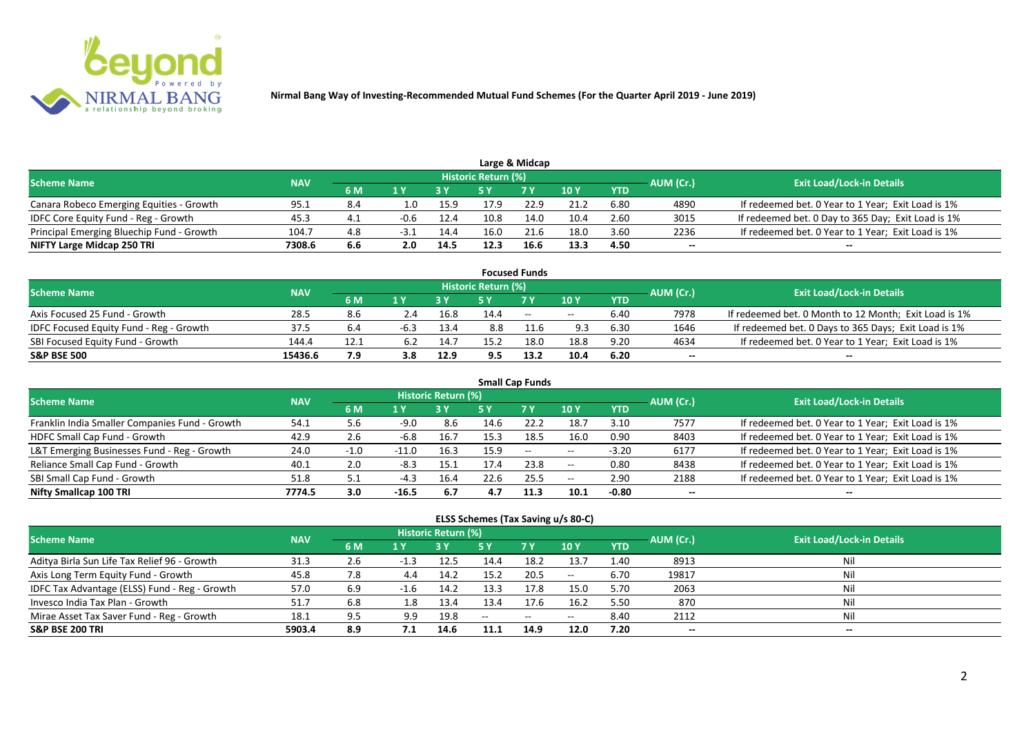

|                                           |            |     |        |      |                            | Large & Midcap |      |            |           |                                                    |
|-------------------------------------------|------------|-----|--------|------|----------------------------|----------------|------|------------|-----------|----------------------------------------------------|
| <b>Scheme Name</b>                        | <b>NAV</b> |     |        |      | <b>Historic Return (%)</b> |                |      |            | AUM (Cr.) | <b>Exit Load/Lock-in Details</b>                   |
|                                           |            | 6 M |        |      |                            | <b>7 Y</b>     | 10 Y | <b>YTD</b> |           |                                                    |
| Canara Robeco Emerging Equities - Growth  | 95.1       | 8.4 | 1.O    | 15.9 | 17.9                       | 22.9           | 21.2 | 6.80       | 4890      | If redeemed bet. 0 Year to 1 Year; Exit Load is 1% |
| IDFC Core Equity Fund - Reg - Growth      | 45.3       | 4.1 | $-0.6$ | 12.4 | 10.8                       | 14.0           | 10.4 | 2.60       | 3015      | If redeemed bet. 0 Day to 365 Day; Exit Load is 1% |
| Principal Emerging Bluechip Fund - Growth | 104.7      | 4.8 | -3.1   | 14.4 | 16.0                       | 21.6           | 18.0 | 3.60       | 2236      | If redeemed bet. 0 Year to 1 Year; Exit Load is 1% |
| NIFTY Large Midcap 250 TRI                | 7308.6     | 6.6 | 2.0    | 14.5 | 12.3                       | 16.6           | 13.3 | 4.50       | --        | $- -$                                              |

|                                                |            |      |     |      |                     | <b>Focused Funds</b> |            |            |           |                                                       |
|------------------------------------------------|------------|------|-----|------|---------------------|----------------------|------------|------------|-----------|-------------------------------------------------------|
| <b>Scheme Name</b>                             | <b>NAV</b> |      |     |      | Historic Return (%) |                      |            |            | AUM (Cr.) | <b>Exit Load/Lock-in Details</b>                      |
|                                                |            | 6 M  | 1 V |      |                     | 7 Y                  | 10Y        | <b>YTD</b> |           |                                                       |
| Axis Focused 25 Fund - Growth                  | 28.5       | 8.6  | 2.4 | 16.8 | 14.4                | $ -$                 | $\sim$ $-$ | 6.40       | 7978      | If redeemed bet. 0 Month to 12 Month; Exit Load is 1% |
| <b>IDFC Focused Equity Fund - Reg - Growth</b> | 37.5       | 6.4  |     | 13.4 | 8.8                 |                      | 9.3        | 6.30       | 1646      | If redeemed bet. 0 Days to 365 Days; Exit Load is 1%  |
| SBI Focused Equity Fund - Growth               | 144.4      | 12.1 | 6.2 | 14.7 | 15.2                | 18.0                 | 18.8       | 9.20       | 4634      | If redeemed bet. 0 Year to 1 Year; Exit Load is 1%    |
| <b>S&amp;P BSE 500</b>                         | 15436.6    | 7.9  | 3.8 | 12.9 | 9.5                 | 13.2                 | 10.4       | 6.20       | --        | --                                                    |

| <b>Small Cap Funds</b>                         |            |        |         |                            |      |           |            |            |           |                                                    |  |  |  |
|------------------------------------------------|------------|--------|---------|----------------------------|------|-----------|------------|------------|-----------|----------------------------------------------------|--|--|--|
| <b>Scheme Name</b>                             | <b>NAV</b> |        |         | <b>Historic Return (%)</b> |      |           |            |            | AUM (Cr.) | <b>Exit Load/Lock-in Details</b>                   |  |  |  |
|                                                |            | 6 M    | 1 Y     |                            | 5 Y  | <b>7Y</b> | <b>10Y</b> | <b>YTD</b> |           |                                                    |  |  |  |
| Franklin India Smaller Companies Fund - Growth | 54.1       | 5.6    | $-9.0$  | 8.6                        | 14.6 | 22.2      | 18.7       | 3.10       | 7577      | If redeemed bet. 0 Year to 1 Year; Exit Load is 1% |  |  |  |
| HDFC Small Cap Fund - Growth                   | 42.9       | 2.6    | $-6.8$  | 16.7                       | 15.3 | 18.5      | 16.0       | 0.90       | 8403      | If redeemed bet. 0 Year to 1 Year; Exit Load is 1% |  |  |  |
| L&T Emerging Businesses Fund - Reg - Growth    | 24.0       | $-1.0$ | $-11.0$ | 16.3                       | 15.9 | $--$      | $- -$      | $-3.20$    | 6177      | If redeemed bet. 0 Year to 1 Year; Exit Load is 1% |  |  |  |
| Reliance Small Cap Fund - Growth               | 40.1       | 2.0    | $-8.3$  | 15.1                       | 17.4 | 23.8      | $- -$      | 0.80       | 8438      | If redeemed bet. 0 Year to 1 Year; Exit Load is 1% |  |  |  |
| SBI Small Cap Fund - Growth                    | 51.8       |        | $-4.3$  | 16.4                       | 22.6 | 25.5      | $- -$      | 2.90       | 2188      | If redeemed bet. 0 Year to 1 Year; Exit Load is 1% |  |  |  |
| Nifty Smallcap 100 TRI                         | 7774.5     | 3.0    | $-16.5$ | 6.7                        | 4.7  | 11.3      | 10.1       | $-0.80$    | --        |                                                    |  |  |  |

#### **ELSS Schemes (Tax Saving u/s 80-C)**

| Scheme Name                                   | <b>NAV</b> |     |                | Historic Return (%) |       |                                                |               | AUM (Cr.)  | <b>Exit Load/Lock-in Details</b> |     |
|-----------------------------------------------|------------|-----|----------------|---------------------|-------|------------------------------------------------|---------------|------------|----------------------------------|-----|
|                                               |            | 6 M | 1 <sup>Y</sup> |                     | 5 Y   | <b>7 Y</b>                                     | $\sqrt{10}$ Y | <b>YTD</b> |                                  |     |
| Aditya Birla Sun Life Tax Relief 96 - Growth  | 31.3       | 2.b | $-1.3$         | 12.5                | 14.4  | 18.2                                           | 13.7          | 1.40       | 8913                             | Nil |
| Axis Long Term Equity Fund - Growth           | 45.8       | 7.8 | 4.4            | 14.2                | 15.2  | 20.5                                           | $- -$         | 6.70       | 19817                            | Nil |
| IDFC Tax Advantage (ELSS) Fund - Reg - Growth | 57.0       | 6.9 |                | 14.2                | 13.3  | 17.8                                           | 15.0          | 5.70       | 2063                             | Nil |
| Invesco India Tax Plan - Growth               | 51.7       | 6.8 | 1.8            | 13.4                | 13.4  | 17.6                                           | 16.2          | 5.50       | 870                              | Nil |
| Mirae Asset Tax Saver Fund - Reg - Growth     | 18.1       | 9.5 | 9.9            | 19.8                | $- -$ | $\hspace{0.1mm}-\hspace{0.1mm}-\hspace{0.1mm}$ | $- -$         | 8.40       | 2112                             | Nil |
| <b>S&amp;P BSE 200 TRI</b>                    | 5903.4     | 8.9 |                | 14.6                | 11.1  | 14.9                                           | 12.0          | 7.20       | $- -$                            | $-$ |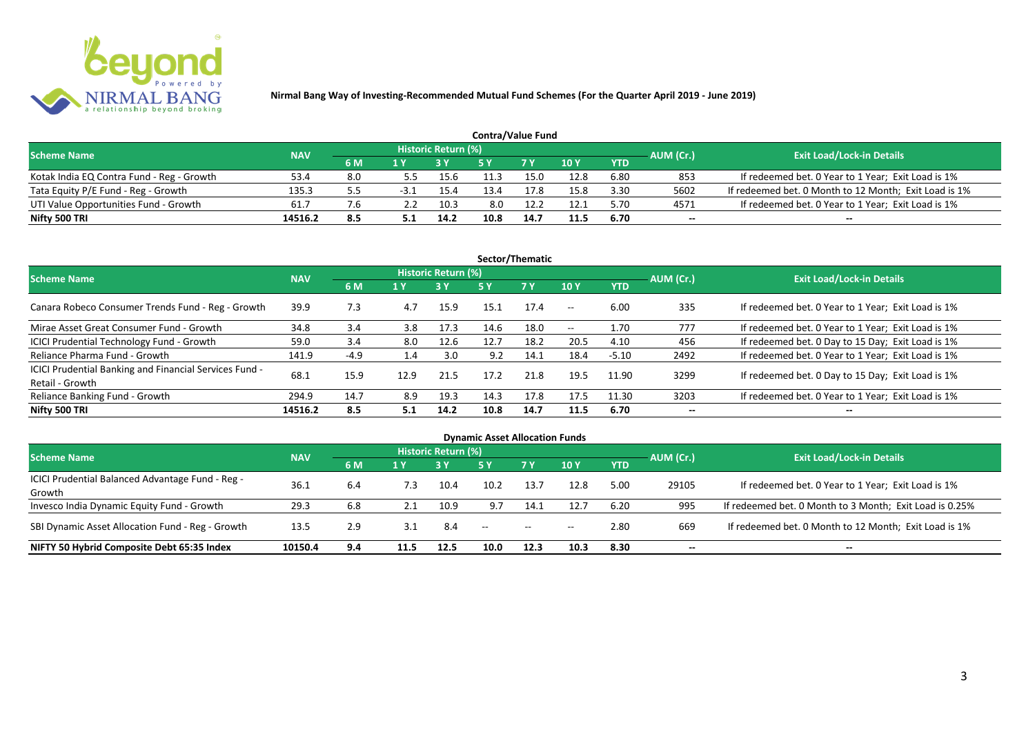

| <b>Contra/Value Fund</b>                  |            |     |      |                     |      |            |      |            |           |                                                       |  |  |  |
|-------------------------------------------|------------|-----|------|---------------------|------|------------|------|------------|-----------|-------------------------------------------------------|--|--|--|
| <b>Scheme Name</b>                        | <b>NAV</b> |     |      | Historic Return (%) |      |            |      |            | AUM (Cr.) | <b>Exit Load/Lock-in Details</b>                      |  |  |  |
|                                           |            | 6 M |      |                     |      | <b>7 Y</b> | 10Y  | <b>YTD</b> |           |                                                       |  |  |  |
| Kotak India EQ Contra Fund - Reg - Growth | 53.4       | 8.0 | 5.5  | 15.6                |      | 15.0       | 12.8 | 6.80       | 853       | If redeemed bet. 0 Year to 1 Year; Exit Load is 1%    |  |  |  |
| Tata Equity P/E Fund - Reg - Growth       | 135.3      | 5.5 | -3.1 | 15.4                | 13.4 | .7.8       | 15.8 | 3.30       | 5602      | If redeemed bet. 0 Month to 12 Month; Exit Load is 1% |  |  |  |
| UTI Value Opportunities Fund - Growth     | 61.        |     |      | 10.3                | 8.0  | 12.2       | 12.1 | 5.70       | 4571      | If redeemed bet. 0 Year to 1 Year; Exit Load is 1%    |  |  |  |
| Nifty 500 TRI                             | 14516.2    | 8.5 |      | 14.2                | 10.8 | 14.7       | 11.5 | 6.70       | --        | $- -$                                                 |  |  |  |

| Sector/Thematic                                                           |            |        |      |                            |      |           |                          |            |           |                                                    |  |  |  |
|---------------------------------------------------------------------------|------------|--------|------|----------------------------|------|-----------|--------------------------|------------|-----------|----------------------------------------------------|--|--|--|
| <b>Scheme Name</b>                                                        | <b>NAV</b> |        |      | <b>Historic Return (%)</b> |      |           |                          |            | AUM (Cr.) | <b>Exit Load/Lock-in Details</b>                   |  |  |  |
|                                                                           |            | 6 M    | 1 Y  | <b>3 Y</b>                 | 5 Y  | <b>7Y</b> | <b>10Y</b>               | <b>YTD</b> |           |                                                    |  |  |  |
| Canara Robeco Consumer Trends Fund - Reg - Growth                         | 39.9       | 7.3    | 4.7  | 15.9                       | 15.1 | 17.4      | $- -$                    | 6.00       | 335       | If redeemed bet. 0 Year to 1 Year; Exit Load is 1% |  |  |  |
| Mirae Asset Great Consumer Fund - Growth                                  | 34.8       | 3.4    | 3.8  | 17.3                       | 14.6 | 18.0      | $\overline{\phantom{a}}$ | 1.70       | 777       | If redeemed bet. 0 Year to 1 Year; Exit Load is 1% |  |  |  |
| <b>ICICI Prudential Technology Fund - Growth</b>                          | 59.0       | 3.4    | 8.0  | 12.6                       | 12.7 | 18.2      | 20.5                     | 4.10       | 456       | If redeemed bet. 0 Day to 15 Day; Exit Load is 1%  |  |  |  |
| Reliance Pharma Fund - Growth                                             | 141.9      | $-4.9$ | 1.4  | 3.0                        | 9.2  | 14.1      | 18.4                     | $-5.10$    | 2492      | If redeemed bet. 0 Year to 1 Year; Exit Load is 1% |  |  |  |
| ICICI Prudential Banking and Financial Services Fund -<br>Retail - Growth | 68.1       | 15.9   | 12.9 | 21.5                       | 17.2 | 21.8      | 19.5                     | 11.90      | 3299      | If redeemed bet. 0 Day to 15 Day; Exit Load is 1%  |  |  |  |
| Reliance Banking Fund - Growth                                            | 294.9      | 14.7   | 8.9  | 19.3                       | 14.3 | 17.8      | 17.5                     | 11.30      | 3203      | If redeemed bet. 0 Year to 1 Year; Exit Load is 1% |  |  |  |
| Nifty 500 TRI                                                             | 14516.2    | 8.5    | 5.1  | 14.2                       | 10.8 | 14.7      | 11.5                     | 6.70       | $- -$     | $\overline{\phantom{a}}$                           |  |  |  |

| <b>Dynamic Asset Allocation Funds</b>            |            |     |      |                            |      |           |            |            |           |                                                         |  |  |  |
|--------------------------------------------------|------------|-----|------|----------------------------|------|-----------|------------|------------|-----------|---------------------------------------------------------|--|--|--|
| <b>Scheme Name</b>                               | <b>NAV</b> |     |      | <b>Historic Return (%)</b> |      |           |            |            |           | <b>Exit Load/Lock-in Details</b>                        |  |  |  |
|                                                  |            | 6 M | 1 Y  |                            | 5 Y  | <b>7Y</b> | <b>10Y</b> | <b>YTD</b> | AUM (Cr.) |                                                         |  |  |  |
| ICICI Prudential Balanced Advantage Fund - Reg - |            |     |      |                            |      |           |            |            |           |                                                         |  |  |  |
| Growth                                           | 36.3       | 6.4 | 7.3  | 10.4                       | 10.2 | 13.7      | 12.8       | 5.00       | 29105     | If redeemed bet. 0 Year to 1 Year; Exit Load is 1%      |  |  |  |
| Invesco India Dynamic Equity Fund - Growth       | 29.3       | 6.8 |      | 10.9                       | 9.7  |           | 12.7       | 6.20       | 995       | If redeemed bet. 0 Month to 3 Month; Exit Load is 0.25% |  |  |  |
| SBI Dynamic Asset Allocation Fund - Reg - Growth | 13.5       | 2.9 | 3.1  | 8.4                        | --   | $- -$     | $- -$      | 2.80       | 669       | If redeemed bet. 0 Month to 12 Month; Exit Load is 1%   |  |  |  |
| NIFTY 50 Hybrid Composite Debt 65:35 Index       | 10150.4    | 9.4 | 11.5 | 12.5                       | 10.0 | 12.3      | 10.3       | 8.30       | --        | $- -$                                                   |  |  |  |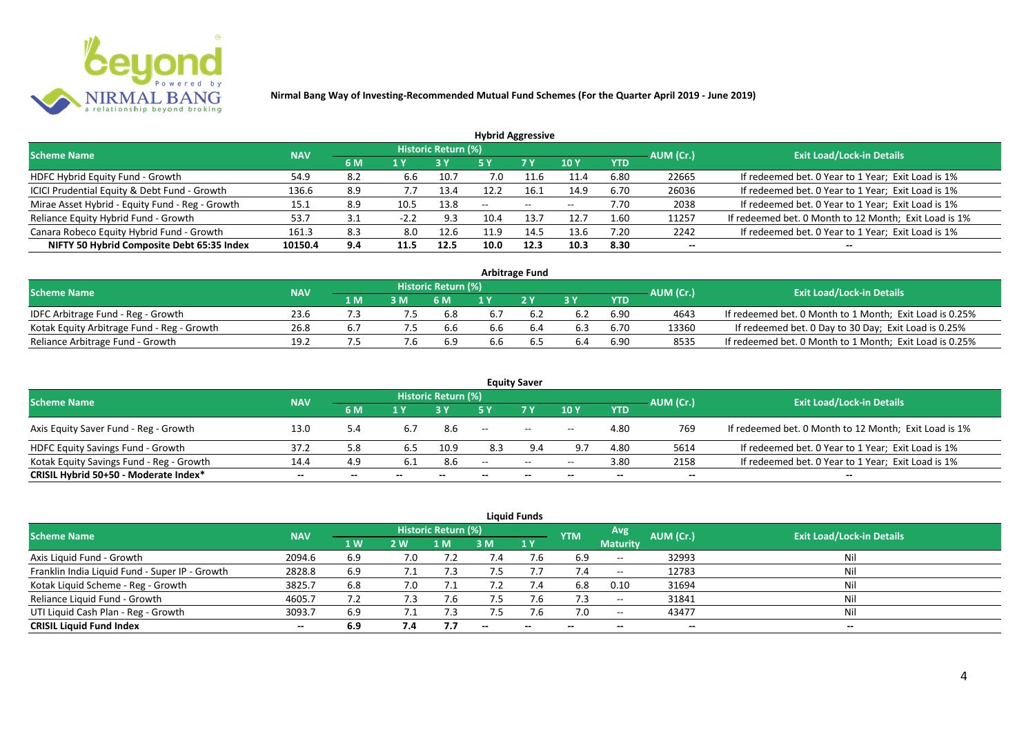

| <b>Hybrid Aggressive</b>                        |            |     |        |                            |      |      |            |            |                          |                                                       |  |  |  |
|-------------------------------------------------|------------|-----|--------|----------------------------|------|------|------------|------------|--------------------------|-------------------------------------------------------|--|--|--|
| <b>Scheme Name</b>                              | <b>NAV</b> |     |        | <b>Historic Return (%)</b> |      |      |            |            | AUM (Cr.)                | <b>Exit Load/Lock-in Details</b>                      |  |  |  |
|                                                 |            | 6 M | 1 Y    |                            | 5 Y  | 7 Y  | <b>10Y</b> | <b>YTD</b> |                          |                                                       |  |  |  |
| HDFC Hybrid Equity Fund - Growth                | 54.9       | 8.2 | 6.6    | 10.7                       | 7.0  | -1.6 | 11.4       | 6.80       | 22665                    | If redeemed bet. 0 Year to 1 Year; Exit Load is 1%    |  |  |  |
| ICICI Prudential Equity & Debt Fund - Growth    | 136.6      | 8.9 | 7.7    | 13.4                       |      | 16.1 | 14.9       | 6.70       | 26036                    | If redeemed bet. 0 Year to 1 Year; Exit Load is 1%    |  |  |  |
| Mirae Asset Hybrid - Equity Fund - Reg - Growth | 15.1       | 8.9 | 10.5   | 13.8                       | $-$  | $--$ | $- -$      | 7.70       | 2038                     | If redeemed bet. 0 Year to 1 Year; Exit Load is 1%    |  |  |  |
| Reliance Equity Hybrid Fund - Growth            | 53.7       | 3.1 | $-2.2$ | 9.3                        | 10.4 | 13.7 | 12.7       | 1.60       | 11257                    | If redeemed bet. 0 Month to 12 Month; Exit Load is 1% |  |  |  |
| Canara Robeco Equity Hybrid Fund - Growth       | 161.3      | 8.3 | 8.0    | 12.6                       | 11.9 | 14.5 | 13.6       | 7.20       | 2242                     | If redeemed bet. 0 Year to 1 Year; Exit Load is 1%    |  |  |  |
| NIFTY 50 Hybrid Composite Debt 65:35 Index      | 10150.4    | 9.4 | 11.5   | 12.5                       | 10.0 | 12.3 | 10.3       | 8.30       | $\overline{\phantom{a}}$ | $- -$                                                 |  |  |  |

| <b>Arbitrage Fund</b>                      |            |                  |    |                            |     |     |     |            |           |                                                         |  |  |  |
|--------------------------------------------|------------|------------------|----|----------------------------|-----|-----|-----|------------|-----------|---------------------------------------------------------|--|--|--|
| <b>Scheme Name</b>                         | <b>NAV</b> |                  |    | <b>Historic Return (%)</b> |     |     |     |            | AUM (Cr.) | <b>Exit Load/Lock-in Details</b>                        |  |  |  |
|                                            |            | $4\,$ M $\prime$ | 3M | 6 M                        |     | 2V  |     | <b>YTD</b> |           |                                                         |  |  |  |
| IDFC Arbitrage Fund - Reg - Growth         | 23.6       |                  |    | 6.8                        |     |     | 6.2 | 6.90       | 4643      | If redeemed bet. 0 Month to 1 Month; Exit Load is 0.25% |  |  |  |
| Kotak Equity Arbitrage Fund - Reg - Growth | 26.8       |                  |    | 6.6                        | 6.6 |     | 6.3 | 6.70       | 13360     | If redeemed bet. 0 Day to 30 Day; Exit Load is 0.25%    |  |  |  |
| Reliance Arbitrage Fund - Growth           | 19.2       |                  |    | 6.9                        | 6.6 | b.5 | 6.4 | 6.90       | 8535      | If redeemed bet. 0 Month to 1 Month; Exit Load is 0.25% |  |  |  |

|                                          |            |     |     |                     |                          | <b>Equity Saver</b>      |       |            |           |                                                       |
|------------------------------------------|------------|-----|-----|---------------------|--------------------------|--------------------------|-------|------------|-----------|-------------------------------------------------------|
| <b>Scheme Name</b>                       | <b>NAV</b> |     |     | Historic Return (%) |                          |                          |       |            | AUM (Cr.) | <b>Exit Load/Lock-in Details</b>                      |
|                                          |            | 6 M | 1 V |                     |                          | <b>7Y</b>                | 10Y   | <b>YTD</b> |           |                                                       |
| Axis Equity Saver Fund - Reg - Growth    | 13.0       | 5.4 |     | 8.6                 | $\overline{\phantom{m}}$ | $\overline{\phantom{a}}$ | $- -$ | 4.80       | 769       | If redeemed bet. 0 Month to 12 Month; Exit Load is 1% |
| <b>HDFC Equity Savings Fund - Growth</b> | 37.2       | 5.8 | 6.5 | 10.9                | 8.3                      |                          | 9.7   | 4.80       | 5614      | If redeemed bet. 0 Year to 1 Year; Exit Load is 1%    |
| Kotak Equity Savings Fund - Reg - Growth | 14.4       | 4.9 |     | 8.6                 | $-$                      | $\sim$                   | $- -$ | 3.80       | 2158      | If redeemed bet. 0 Year to 1 Year; Exit Load is 1%    |
| CRISIL Hybrid 50+50 - Moderate Index*    | $- -$      | --  | $-$ | $- -$               | --                       | $-$                      | $- -$ | $- -$      | $-$       | $- -$                                                 |

| <b>Liquid Funds</b>                            |            |                |     |                            |                          |                          |                          |                          |                          |                                  |  |  |  |  |
|------------------------------------------------|------------|----------------|-----|----------------------------|--------------------------|--------------------------|--------------------------|--------------------------|--------------------------|----------------------------------|--|--|--|--|
| <b>Scheme Name</b>                             | <b>NAV</b> |                |     | <b>Historic Return (%)</b> |                          |                          | <b>YTM</b>               | Avg                      | AUM (Cr.)                | <b>Exit Load/Lock-in Details</b> |  |  |  |  |
|                                                |            | 1 <sub>W</sub> | 2W  | 1 M                        | 3 M                      | 1Y                       |                          | <b>Maturity</b>          |                          |                                  |  |  |  |  |
| Axis Liquid Fund - Growth                      | 2094.6     | 6.9            | 7.0 |                            | 4.'                      |                          | 6.9                      | $\hspace{0.05cm}$        | 32993                    | Nil                              |  |  |  |  |
| Franklin India Liquid Fund - Super IP - Growth | 2828.8     | 6.9            |     | 7.3                        |                          |                          |                          | $\hspace{0.05cm}$        | 12783                    | Nil                              |  |  |  |  |
| Kotak Liquid Scheme - Reg - Growth             | 3825.7     | 6.8            | 7.0 | 7.1                        | 7.2                      | 7.4                      | 6.8                      | 0.10                     | 31694                    | Nil                              |  |  |  |  |
| Reliance Liquid Fund - Growth                  | 4605.7     | 7.2            | 7.3 |                            | 7.5                      | 7.6                      | 7.3                      | $\overline{\phantom{a}}$ | 31841                    | Nil                              |  |  |  |  |
| UTI Liquid Cash Plan - Reg - Growth            | 3093.7     | 6.9            |     |                            |                          | 7.b                      | 7.0                      | $\overline{\phantom{a}}$ | 43477                    | Nil                              |  |  |  |  |
| <b>CRISIL Liquid Fund Index</b>                | $- -$      | 6.9            | 7.4 | 7.7                        | $\overline{\phantom{a}}$ | $\overline{\phantom{a}}$ | $\overline{\phantom{a}}$ | $\overline{\phantom{a}}$ | $\overline{\phantom{a}}$ | $- -$                            |  |  |  |  |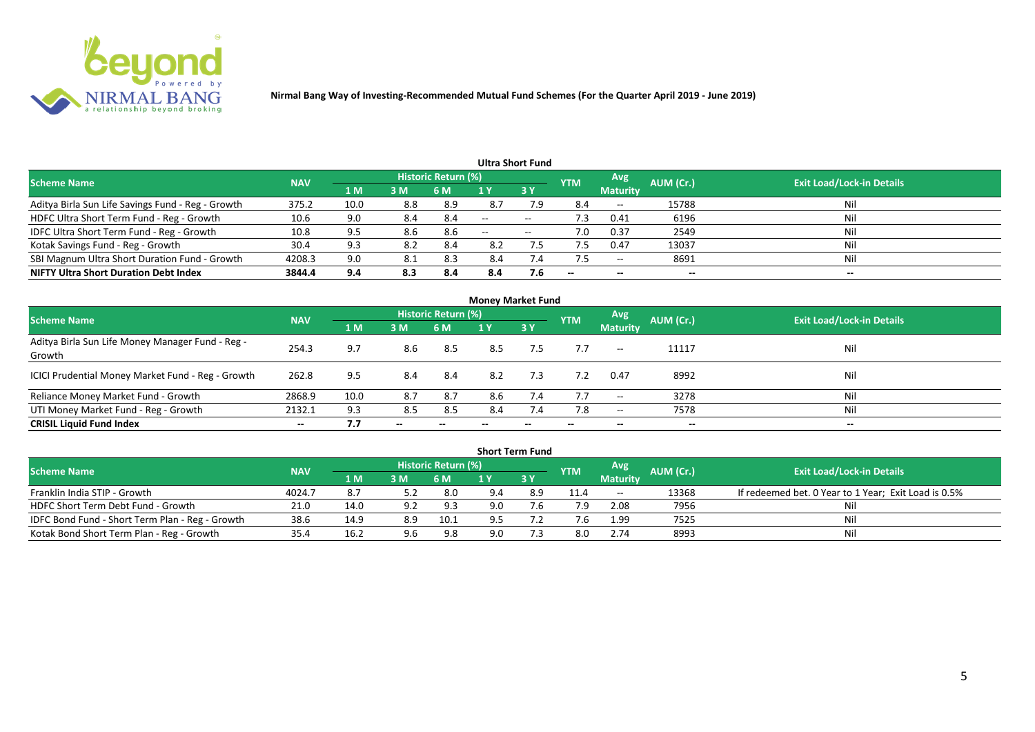

| Ultra Short Fund                                  |            |      |     |                            |       |                   |                          |                 |           |                                  |  |  |  |
|---------------------------------------------------|------------|------|-----|----------------------------|-------|-------------------|--------------------------|-----------------|-----------|----------------------------------|--|--|--|
| <b>Scheme Name</b>                                | <b>NAV</b> |      |     | <b>Historic Return (%)</b> |       |                   | <b>YTM</b>               | Avg             | AUM (Cr.) | <b>Exit Load/Lock-in Details</b> |  |  |  |
|                                                   |            | 1 M  | 3M  | 6 M                        |       | 3Y                |                          | <b>Maturity</b> |           |                                  |  |  |  |
| Aditya Birla Sun Life Savings Fund - Reg - Growth | 375.2      | 10.0 | 8.8 | 8.9                        | 8.7   | 7.9               | 8.4                      | $- -$           | 15788     | Nil                              |  |  |  |
| HDFC Ultra Short Term Fund - Reg - Growth         | 10.6       | 9.0  | 8.4 | 8.4                        | $-$   | $- -$             | د. ا                     | 0.41            | 6196      | Nil                              |  |  |  |
| IDFC Ultra Short Term Fund - Reg - Growth         | 10.8       | 9.5  | 8.6 | 8.6                        | $- -$ | $\hspace{0.05cm}$ | 7.0                      | 0.37            | 2549      | Nil                              |  |  |  |
| Kotak Savings Fund - Reg - Growth                 | 30.4       | 9.3  | 8.2 | 8.4                        | 8.2   |                   |                          | 0.47            | 13037     | Nil                              |  |  |  |
| SBI Magnum Ultra Short Duration Fund - Growth     | 4208.3     | 9.0  | 8.1 | 8.3                        | 8.4   | $\sqrt{4}$        |                          | $- -$           | 8691      | Nil                              |  |  |  |
| <b>NIFTY Ultra Short Duration Debt Index</b>      | 3844.4     | 9.4  | 8.3 | 8.4                        | 8.4   | 7.6               | $\overline{\phantom{a}}$ | $- -$           | --        | $- -$                            |  |  |  |

| <b>Money Market Fund</b>                                   |            |                |       |                     |     |           |            |                 |           |                                  |  |  |  |
|------------------------------------------------------------|------------|----------------|-------|---------------------|-----|-----------|------------|-----------------|-----------|----------------------------------|--|--|--|
| <b>Scheme Name</b>                                         | <b>NAV</b> |                |       | Historic Return (%) |     |           | <b>YTM</b> | Avg             | AUM (Cr.) | <b>Exit Load/Lock-in Details</b> |  |  |  |
|                                                            |            | 1 <sub>M</sub> | 3 M   | 6 M                 | 1 Y | <b>3Y</b> |            | <b>Maturity</b> |           |                                  |  |  |  |
| Aditya Birla Sun Life Money Manager Fund - Reg -<br>Growth | 254.3      | 9.7            | 8.6   | 8.5                 | 8.5 | 7.5       | 7.7        | $--$            | 11117     | Nil                              |  |  |  |
| ICICI Prudential Money Market Fund - Reg - Growth          | 262.8      | 9.5            | 8.4   | -8.4                | 8.2 | 7.3       | 7.2        | 0.47            | 8992      | Nil                              |  |  |  |
| Reliance Money Market Fund - Growth                        | 2868.9     | 10.0           | 8.7   | 8.7                 | 8.6 | 7.4       | 7.7        | $- -$           | 3278      | Nil                              |  |  |  |
| UTI Money Market Fund - Reg - Growth                       | 2132.1     | 9.3            | 8.5   | 8.5                 | 8.4 | 7.4       | 7.8        | $- -$           | 7578      | Nil                              |  |  |  |
| <b>CRISIL Liquid Fund Index</b>                            | $- -$      | 7.7            | $- -$ |                     |     |           | $- -$      | $- -$           | $- -$     | $- -$                            |  |  |  |

|                                                 |            |                        |     |                            |     | <b>Short Term Fund</b> |            |                 |           |                                                      |
|-------------------------------------------------|------------|------------------------|-----|----------------------------|-----|------------------------|------------|-----------------|-----------|------------------------------------------------------|
| <b>Scheme Name</b>                              | <b>NAV</b> |                        |     | <b>Historic Return (%)</b> |     |                        | <b>YTM</b> | <b>Avg</b>      | AUM (Cr.) | <b>Exit Load/Lock-in Details</b>                     |
|                                                 |            | $\bm{1}$ M $\bm{\ell}$ | 3M  | 6 M                        |     | 73 Y                   |            | <b>Maturity</b> |           |                                                      |
| Franklin India STIP - Growth                    | 4024.7     |                        |     | 8.0                        | 9.4 | 8.9                    | 11.4       | $- -$           | 13368     | If redeemed bet. 0 Year to 1 Year; Exit Load is 0.5% |
| HDFC Short Term Debt Fund - Growth              | 21.0       | 14.0                   | 9.2 | 9.3                        | 9.0 |                        | 7.9        | 2.08            | 7956      |                                                      |
| IDFC Bond Fund - Short Term Plan - Reg - Growth | 38.6       | 14.9                   | 8.9 | 10.1                       |     |                        |            | 1.99            | 7525      | Nil                                                  |
| Kotak Bond Short Term Plan - Reg - Growth       | 35.4       | 16.2                   | 9.6 | 9.8                        | 9.0 |                        | 8.0        | 2.74            | 8993      | Nil                                                  |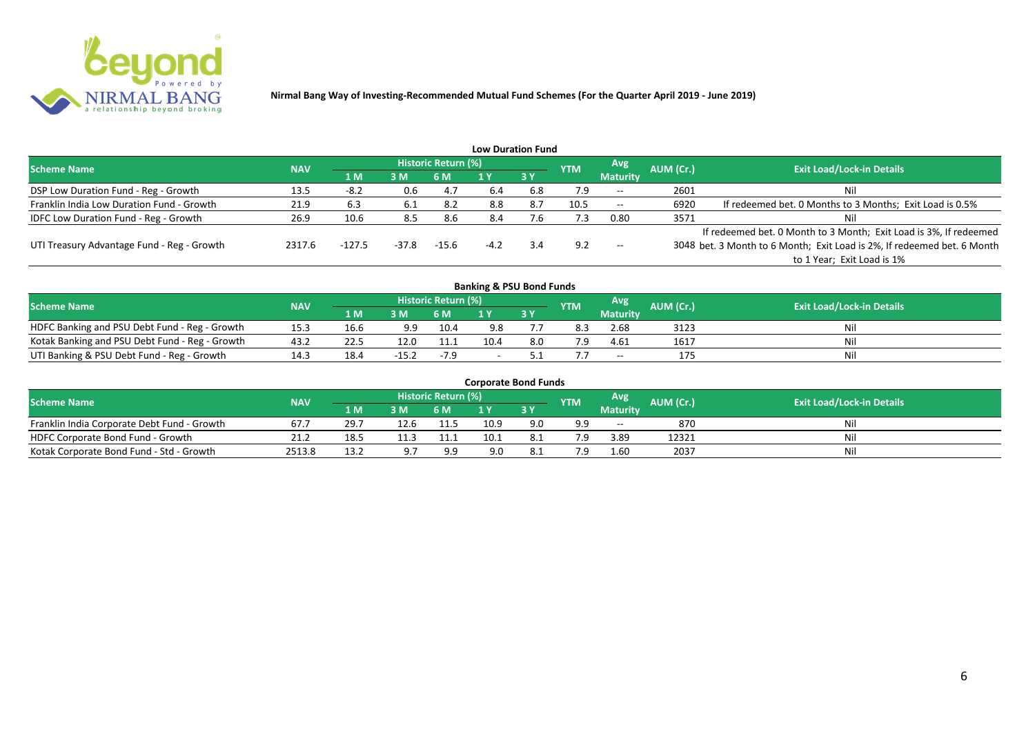

|                                              |            |          |         |                     |        | <b>Low Duration Fund</b> |            |                          |           |                                                                         |
|----------------------------------------------|------------|----------|---------|---------------------|--------|--------------------------|------------|--------------------------|-----------|-------------------------------------------------------------------------|
| <b>Scheme Name</b>                           | <b>NAV</b> |          |         | Historic Return (%) |        |                          | <b>YTM</b> | Avg                      | AUM (Cr.) | <b>Exit Load/Lock-in Details</b>                                        |
|                                              |            | /1 M     | 3 M     | 6 M                 |        | <b>3Y</b>                |            | <b>Maturity</b>          |           |                                                                         |
| DSP Low Duration Fund - Reg - Growth         | 13.5       | $-8.2$   | 0.6     | 4.7                 | -6.4   | 6.8                      | 7.9        | $\overline{\phantom{a}}$ | 2601      | Nil                                                                     |
| Franklin India Low Duration Fund - Growth    | 21.9       | 6.3      |         | 8.2                 | 8.8    | 8.7                      | 10.5       | $\overline{\phantom{a}}$ | 6920      | If redeemed bet. 0 Months to 3 Months; Exit Load is 0.5%                |
| <b>IDFC Low Duration Fund - Reg - Growth</b> | 26.9       | 10.6     | 8.5     | 8.6                 | 8.4    | 7.6                      | 7.3        | 0.80                     | 3571      | Nil                                                                     |
|                                              |            |          |         |                     |        |                          |            |                          |           | If redeemed bet. 0 Month to 3 Month; Exit Load is 3%, If redeemed       |
| UTI Treasury Advantage Fund - Reg - Growth   | 2317.6     | $-127.5$ | $-37.8$ | $-15.6$             | $-4.2$ | 3.4                      | 9.2        | $- -$                    |           | 3048 bet. 3 Month to 6 Month; Exit Load is 2%, If redeemed bet. 6 Month |
|                                              |            |          |         |                     |        |                          |            |                          |           | to 1 Year; Exit Load is 1%                                              |
|                                              |            |          |         |                     |        |                          |            |                          |           |                                                                         |

| <b>Banking &amp; PSU Bond Funds</b>            |            |      |         |                     |      |     |            |                 |           |                                  |  |  |  |
|------------------------------------------------|------------|------|---------|---------------------|------|-----|------------|-----------------|-----------|----------------------------------|--|--|--|
| <b>Scheme Name</b>                             | <b>NAV</b> |      |         | Historic Return (%) |      |     | <b>YTM</b> | Avg             | AUM (Cr.) | <b>Exit Load/Lock-in Details</b> |  |  |  |
|                                                |            | 1 M  | 3 M     | 6 M                 |      | 3Y  |            | <b>Maturity</b> |           |                                  |  |  |  |
| HDFC Banking and PSU Debt Fund - Reg - Growth  | 15.3       | 16.6 | 9.9     | 10.4                | 9.8  |     | 8.3        | 2.68            | 3123      | Nil                              |  |  |  |
| Kotak Banking and PSU Debt Fund - Reg - Growth | 43.2       | 22.5 | 12.0    | 11.1                | 10.4 | 8.0 |            | 4.61            | 1617      | Nil                              |  |  |  |
| UTI Banking & PSU Debt Fund - Reg - Growth     | 14.5       | 18.4 | $-15.2$ | -7.9                | -    |     |            | $- -$           | 175       | Nil                              |  |  |  |

| <b>Corporate Bond Funds</b>                 |            |      |      |                            |      |      |            |                  |                  |                                  |  |  |  |
|---------------------------------------------|------------|------|------|----------------------------|------|------|------------|------------------|------------------|----------------------------------|--|--|--|
| <b>Scheme Name</b>                          | <b>NAV</b> |      |      | <b>Historic Return (%)</b> |      |      | <b>YTM</b> | Avg <sup>'</sup> | <b>AUM (Cr.)</b> | <b>Exit Load/Lock-in Details</b> |  |  |  |
|                                             |            | 1 MZ | 3 M  | 6 M                        |      | 73 Y |            | <b>Maturity</b>  |                  |                                  |  |  |  |
| Franklin India Corporate Debt Fund - Growth | 67.        | 29.7 | 12.6 | 11.5                       | 10.9 | 9.0  | a a        | $- -$            | 870              | Nil                              |  |  |  |
| HDFC Corporate Bond Fund - Growth           | 21.2       | 18.5 |      |                            | 10.1 |      |            | 3.89             | 12321            | Nil                              |  |  |  |
| Kotak Corporate Bond Fund - Std - Growth    | 2513.8     | 13.2 | 9 7  | 9.9                        | 9.0  |      |            | 1.60             | 2037             | Nil                              |  |  |  |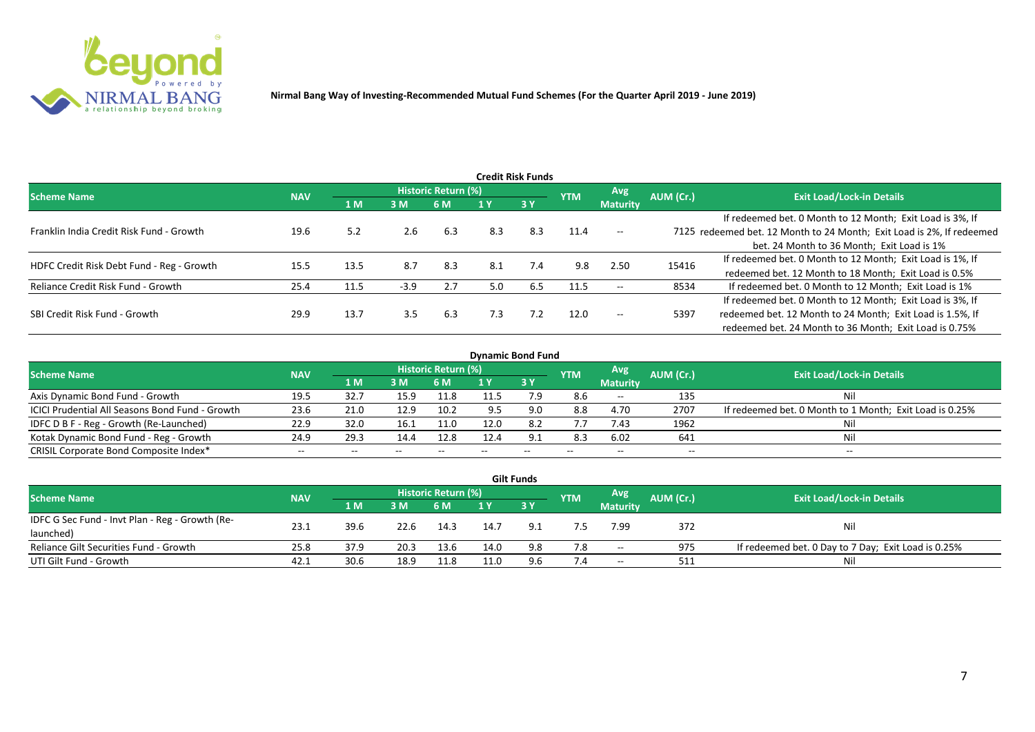

|                                           |            |      |        |                     |     | <b>Credit Risk Funds</b> |            |                 |           |                                                                       |
|-------------------------------------------|------------|------|--------|---------------------|-----|--------------------------|------------|-----------------|-----------|-----------------------------------------------------------------------|
| <b>Scheme Name</b>                        | <b>NAV</b> |      |        | Historic Return (%) |     |                          | <b>YTM</b> | <b>Avg</b>      | AUM (Cr.) | <b>Exit Load/Lock-in Details</b>                                      |
|                                           |            | 1 M  | 3M     | 6 M                 |     | 3Y                       |            | <b>Maturity</b> |           |                                                                       |
|                                           |            |      |        |                     |     |                          |            |                 |           | If redeemed bet. 0 Month to 12 Month; Exit Load is 3%, If             |
| Franklin India Credit Risk Fund - Growth  | 19.6       | 5.2  | 2.6    | 6.3                 | 8.3 | 8.3                      | 11.4       | $-$             |           | 7125 redeemed bet. 12 Month to 24 Month; Exit Load is 2%, If redeemed |
|                                           |            |      |        |                     |     |                          |            |                 |           | bet. 24 Month to 36 Month; Exit Load is 1%                            |
| HDFC Credit Risk Debt Fund - Reg - Growth | 15.5       | 13.5 | 8.7    | 8.3                 | 8.1 | 7.4                      | 9.8        | 2.50            | 15416     | If redeemed bet. 0 Month to 12 Month; Exit Load is 1%, If             |
|                                           |            |      |        |                     |     |                          |            |                 |           | redeemed bet. 12 Month to 18 Month; Exit Load is 0.5%                 |
| Reliance Credit Risk Fund - Growth        | 25.4       | 11.5 | $-3.9$ | 2.7                 | 5.0 | 6.5                      | 11.5       | $- -$           | 8534      | If redeemed bet. 0 Month to 12 Month; Exit Load is 1%                 |
|                                           |            |      |        |                     |     |                          |            |                 |           | If redeemed bet. 0 Month to 12 Month; Exit Load is 3%, If             |
| SBI Credit Risk Fund - Growth             | 29.9       | 13.7 | 3.5    | 6.3                 | 7.3 | 7.2                      | 12.0       | $- -$           | 5397      | redeemed bet. 12 Month to 24 Month; Exit Load is 1.5%, If             |
|                                           |            |      |        |                     |     |                          |            |                 |           | redeemed bet. 24 Month to 36 Month; Exit Load is 0.75%                |

| <b>Dynamic Bond Fund</b>                        |            |       |       |                          |      |           |            |                          |           |                                                         |  |  |  |  |
|-------------------------------------------------|------------|-------|-------|--------------------------|------|-----------|------------|--------------------------|-----------|---------------------------------------------------------|--|--|--|--|
| <b>Scheme Name</b>                              | <b>NAV</b> |       |       | Historic Return (%)      |      |           | <b>YTM</b> | Avg                      | AUM (Cr.) | <b>Exit Load/Lock-in Details</b>                        |  |  |  |  |
|                                                 |            | 1 M   | 3 M   | 6 M                      |      | <b>3Y</b> |            | <b>Maturity</b>          |           |                                                         |  |  |  |  |
| Axis Dynamic Bond Fund - Growth                 | 19.5       | 32.7  | 15.9  | 11.8                     | 11.5 |           | 8.6        | $- -$                    | 135       | Νi                                                      |  |  |  |  |
| ICICI Prudential All Seasons Bond Fund - Growth | 23.6       | 21.0  | 12.9  | 10.2                     |      |           | 8.8        | 4.70                     | 2707      | If redeemed bet. 0 Month to 1 Month; Exit Load is 0.25% |  |  |  |  |
| IDFC D B F - Reg - Growth (Re-Launched)         | 22.9       | 32.0  | 16.1  | 11.0                     | 12.0 |           | 7.7        | 7.43                     | 1962      |                                                         |  |  |  |  |
| Kotak Dynamic Bond Fund - Reg - Growth          | 24.9       | 29.3  | 14.4  | 12.8                     | 12.4 | 9.1       | 8.3        | 6.02                     | 641       | Νi                                                      |  |  |  |  |
| CRISIL Corporate Bond Composite Index*          | $- -$      | $- -$ | $- -$ | $\overline{\phantom{m}}$ |      | $- -$     |            | $\overline{\phantom{a}}$ | $- -$     | $-$                                                     |  |  |  |  |

| <b>Gilt Funds</b>                               |            |        |      |                            |      |       |            |                 |           |                                                     |  |  |  |  |
|-------------------------------------------------|------------|--------|------|----------------------------|------|-------|------------|-----------------|-----------|-----------------------------------------------------|--|--|--|--|
| <b>Scheme Name</b>                              | <b>NAV</b> |        |      | <b>Historic Return (%)</b> |      |       | <b>YTM</b> | Avg             | AUM (Cr.) | <b>Exit Load/Lock-in Details</b>                    |  |  |  |  |
|                                                 |            | '1 M / | 3 M  | 6 M                        | 1 Y  | 7 3 Y |            | <b>Maturity</b> |           |                                                     |  |  |  |  |
| IDFC G Sec Fund - Invt Plan - Reg - Growth (Re- | 23.1       |        | 22.6 |                            |      |       |            |                 |           |                                                     |  |  |  |  |
| launched)                                       |            | 39.6   |      | 14.3                       | 14.7 | 9.1   |            | 7.99            | 372       | Nil                                                 |  |  |  |  |
| Reliance Gilt Securities Fund - Growth          | 25.8       | 37.9   | 20.3 | 13.6                       | 14.0 | 9.8   | 7.8        | $- -$           | 975       | If redeemed bet. 0 Day to 7 Day; Exit Load is 0.25% |  |  |  |  |
| UTI Gilt Fund - Growth                          | 42.1       | 30.6   | 18.9 | 11.8                       | 11.0 | 9.6   |            | $- -$           | 511       | Nil                                                 |  |  |  |  |